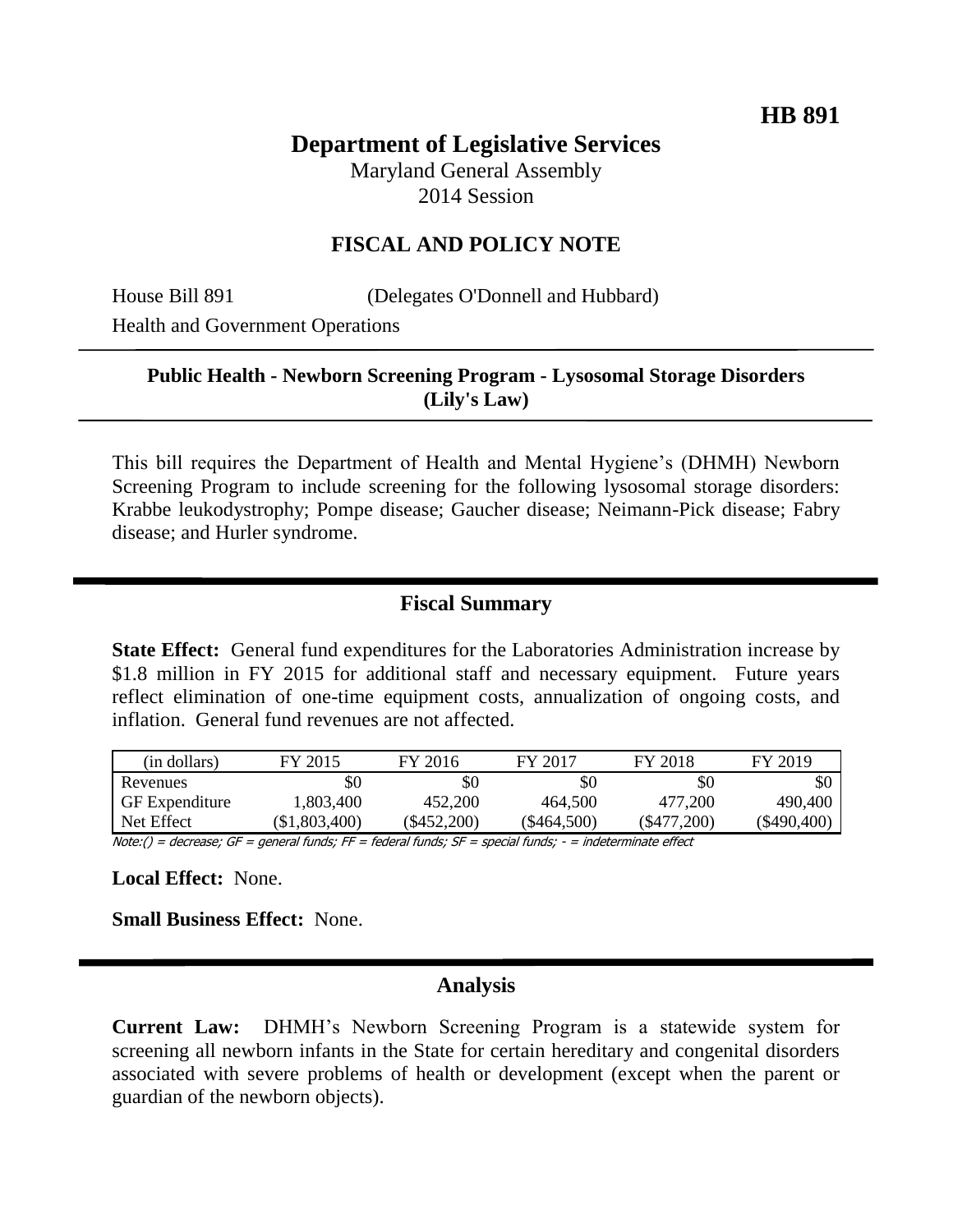## **Department of Legislative Services**

Maryland General Assembly 2014 Session

### **FISCAL AND POLICY NOTE**

House Bill 891 (Delegates O'Donnell and Hubbard)

Health and Government Operations

## **Public Health - Newborn Screening Program - Lysosomal Storage Disorders (Lily's Law)**

This bill requires the Department of Health and Mental Hygiene's (DHMH) Newborn Screening Program to include screening for the following lysosomal storage disorders: Krabbe leukodystrophy; Pompe disease; Gaucher disease; Neimann-Pick disease; Fabry disease; and Hurler syndrome.

## **Fiscal Summary**

**State Effect:** General fund expenditures for the Laboratories Administration increase by \$1.8 million in FY 2015 for additional staff and necessary equipment. Future years reflect elimination of one-time equipment costs, annualization of ongoing costs, and inflation. General fund revenues are not affected.

| (in dollars)          | FY 2015         | FY 2016   | FY 2017     | FY 2018        | FY 2019     |
|-----------------------|-----------------|-----------|-------------|----------------|-------------|
| Revenues              | \$0             | \$0       | \$0         | \$0            | \$0         |
| <b>GF</b> Expenditure | 1.803.400       | 452,200   | 464.500     | 477.200        | 490,400     |
| Net Effect            | $(\$1,803,400)$ | \$452,200 | (\$464,500) | $($ \$477,200) | (\$490,400) |

Note:() = decrease; GF = general funds; FF = federal funds; SF = special funds; - = indeterminate effect

**Local Effect:** None.

**Small Business Effect:** None.

#### **Analysis**

**Current Law:** DHMH's Newborn Screening Program is a statewide system for screening all newborn infants in the State for certain hereditary and congenital disorders associated with severe problems of health or development (except when the parent or guardian of the newborn objects).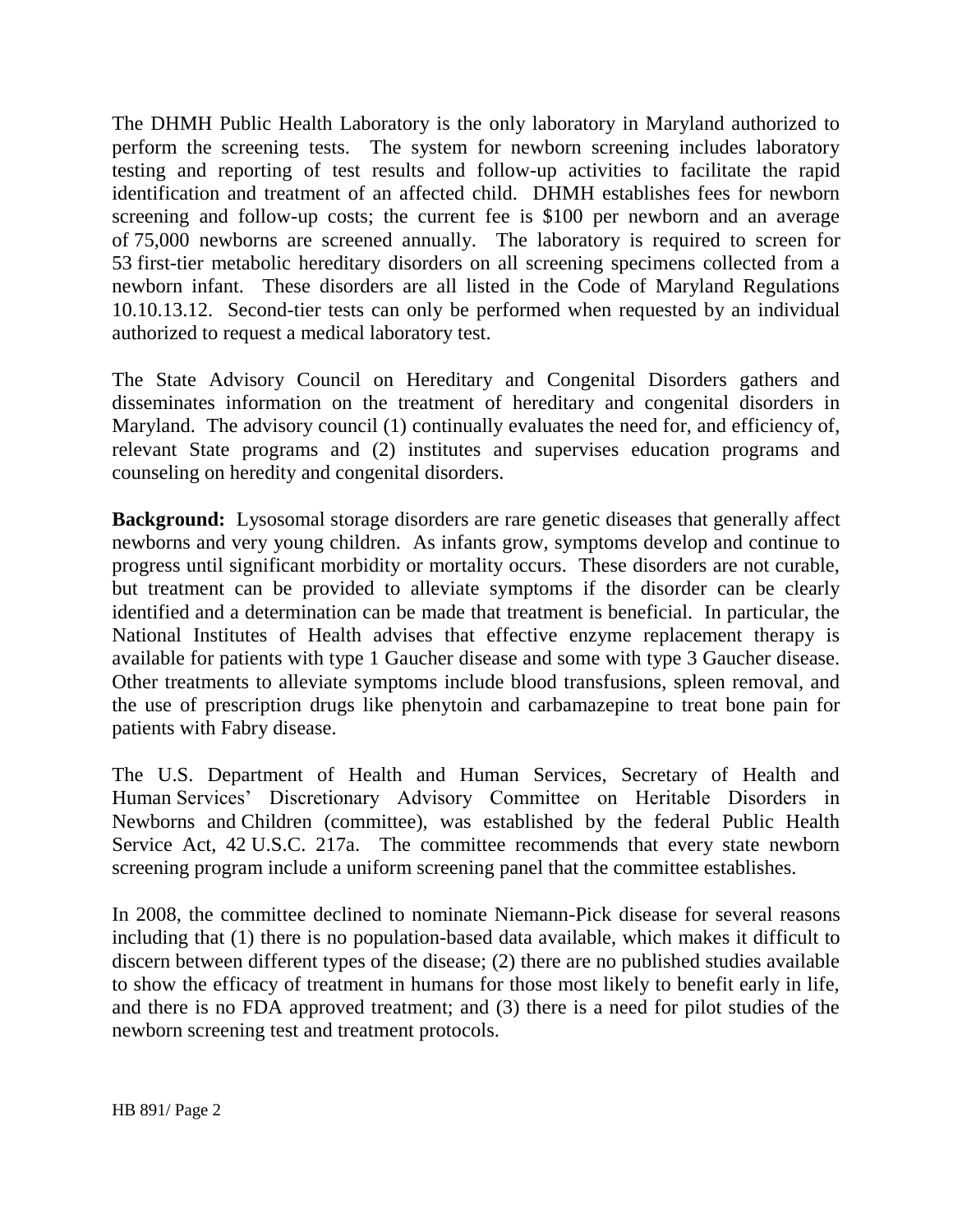The DHMH Public Health Laboratory is the only laboratory in Maryland authorized to perform the screening tests. The system for newborn screening includes laboratory testing and reporting of test results and follow-up activities to facilitate the rapid identification and treatment of an affected child. DHMH establishes fees for newborn screening and follow-up costs; the current fee is \$100 per newborn and an average of 75,000 newborns are screened annually. The laboratory is required to screen for 53 first-tier metabolic hereditary disorders on all screening specimens collected from a newborn infant. These disorders are all listed in the Code of Maryland Regulations 10.10.13.12. Second-tier tests can only be performed when requested by an individual authorized to request a medical laboratory test.

The State Advisory Council on Hereditary and Congenital Disorders gathers and disseminates information on the treatment of hereditary and congenital disorders in Maryland. The advisory council (1) continually evaluates the need for, and efficiency of, relevant State programs and (2) institutes and supervises education programs and counseling on heredity and congenital disorders.

**Background:** Lysosomal storage disorders are rare genetic diseases that generally affect newborns and very young children. As infants grow, symptoms develop and continue to progress until significant morbidity or mortality occurs. These disorders are not curable, but treatment can be provided to alleviate symptoms if the disorder can be clearly identified and a determination can be made that treatment is beneficial. In particular, the National Institutes of Health advises that effective enzyme replacement therapy is available for patients with type 1 Gaucher disease and some with type 3 Gaucher disease. Other treatments to alleviate symptoms include blood transfusions, spleen removal, and the use of prescription drugs like phenytoin and carbamazepine to treat bone pain for patients with Fabry disease.

The U.S. Department of Health and Human Services, Secretary of Health and Human Services' Discretionary Advisory Committee on Heritable Disorders in Newborns and Children (committee), was established by the federal Public Health Service Act, 42 U.S.C. 217a. The committee recommends that every state newborn screening program include a uniform screening panel that the committee establishes.

In 2008, the committee declined to nominate Niemann-Pick disease for several reasons including that (1) there is no population-based data available, which makes it difficult to discern between different types of the disease; (2) there are no published studies available to show the efficacy of treatment in humans for those most likely to benefit early in life, and there is no FDA approved treatment; and (3) there is a need for pilot studies of the newborn screening test and treatment protocols.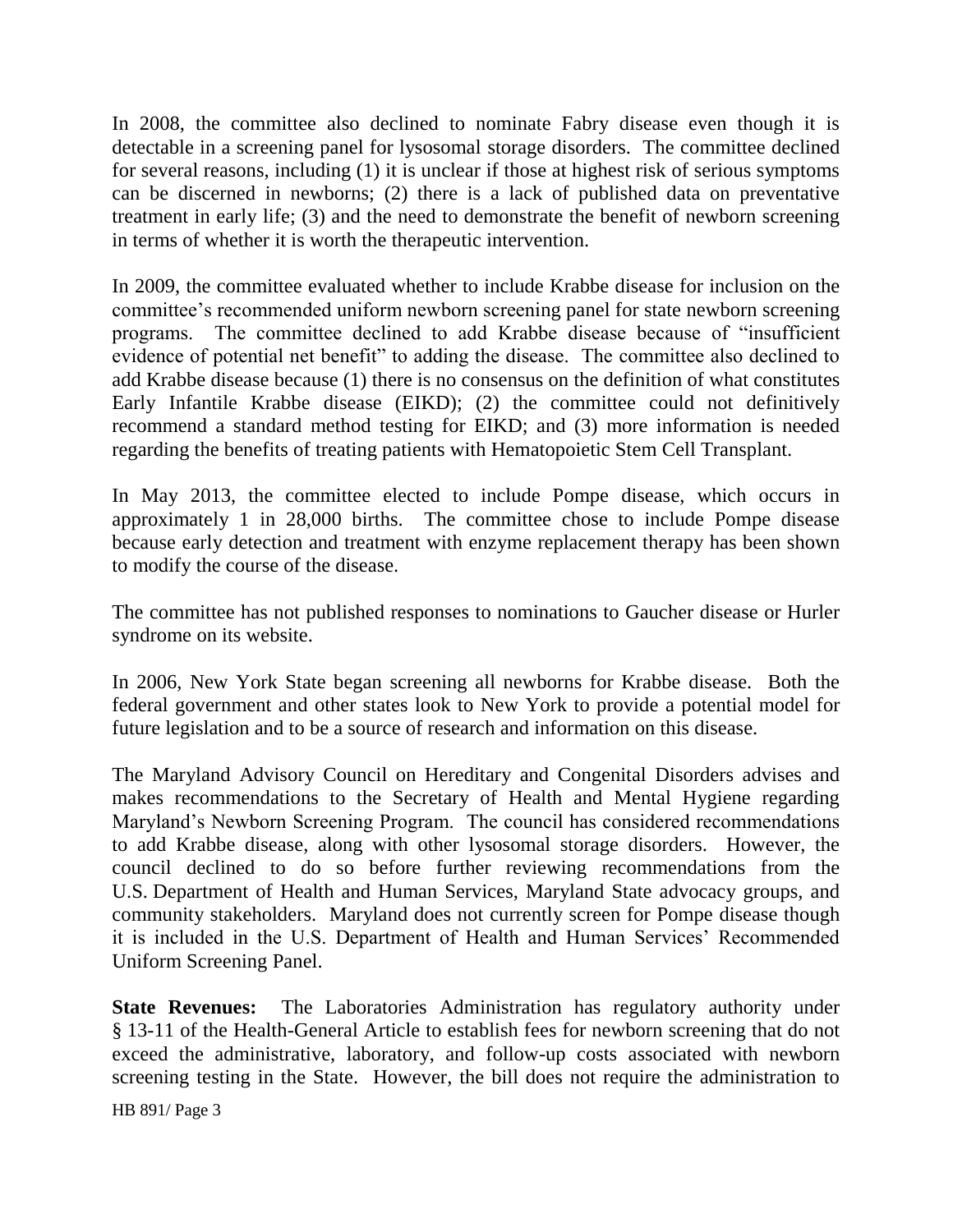In 2008, the committee also declined to nominate Fabry disease even though it is detectable in a screening panel for lysosomal storage disorders. The committee declined for several reasons, including (1) it is unclear if those at highest risk of serious symptoms can be discerned in newborns; (2) there is a lack of published data on preventative treatment in early life; (3) and the need to demonstrate the benefit of newborn screening in terms of whether it is worth the therapeutic intervention.

In 2009, the committee evaluated whether to include Krabbe disease for inclusion on the committee's recommended uniform newborn screening panel for state newborn screening programs. The committee declined to add Krabbe disease because of "insufficient evidence of potential net benefit" to adding the disease. The committee also declined to add Krabbe disease because (1) there is no consensus on the definition of what constitutes Early Infantile Krabbe disease (EIKD); (2) the committee could not definitively recommend a standard method testing for EIKD; and (3) more information is needed regarding the benefits of treating patients with Hematopoietic Stem Cell Transplant.

In May 2013, the committee elected to include Pompe disease, which occurs in approximately 1 in 28,000 births. The committee chose to include Pompe disease because early detection and treatment with enzyme replacement therapy has been shown to modify the course of the disease.

The committee has not published responses to nominations to Gaucher disease or Hurler syndrome on its website.

In 2006, New York State began screening all newborns for Krabbe disease. Both the federal government and other states look to New York to provide a potential model for future legislation and to be a source of research and information on this disease.

The Maryland Advisory Council on Hereditary and Congenital Disorders advises and makes recommendations to the Secretary of Health and Mental Hygiene regarding Maryland's Newborn Screening Program. The council has considered recommendations to add Krabbe disease, along with other lysosomal storage disorders. However, the council declined to do so before further reviewing recommendations from the U.S. Department of Health and Human Services, Maryland State advocacy groups, and community stakeholders. Maryland does not currently screen for Pompe disease though it is included in the U.S. Department of Health and Human Services' Recommended Uniform Screening Panel.

**State Revenues:** The Laboratories Administration has regulatory authority under § 13-11 of the Health-General Article to establish fees for newborn screening that do not exceed the administrative, laboratory, and follow-up costs associated with newborn screening testing in the State. However, the bill does not require the administration to

HB 891/ Page 3